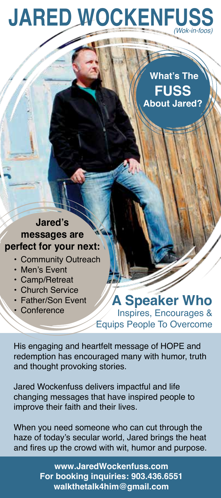# *(Wok-in-foos)* **JARED WOCKENFUS**

 **What's The FUSS About Jared?** 

### **Jared's messages are perfect for your next:**

- Community Outreach
- Men's Event
- Camp/Retreat
- Church Service
- Father/Son Event
- Conference

#### **A Speaker Who** Inspires, Encourages & Equips People To Overcome

His engaging and heartfelt message of HOPE and redemption has encouraged many with humor, truth and thought provoking stories.

Jared Wockenfuss delivers impactful and life changing messages that have inspired people to improve their faith and their lives.

When you need someone who can cut through the haze of today's secular world, Jared brings the heat and fires up the crowd with wit, humor and purpose.

> **www.JaredWockenfuss.com For booking inquiries: 903.436.6551 walkthetalk4him@gmail.com**